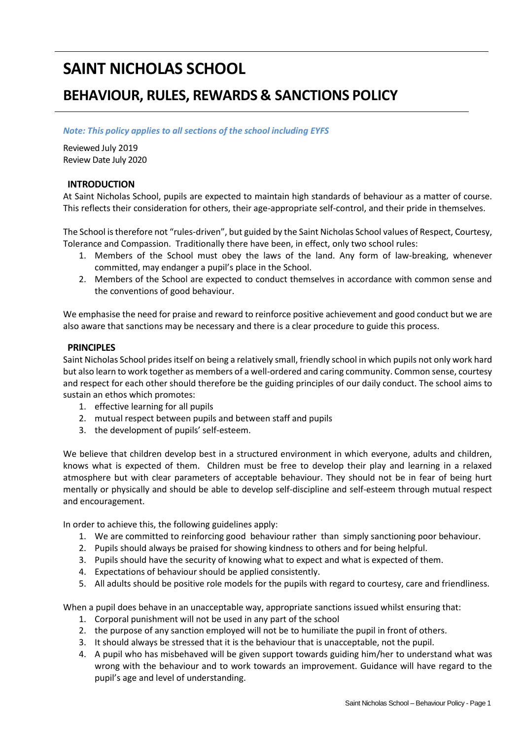# **SAINT NICHOLAS SCHOOL**

## **BEHAVIOUR, RULES, REWARDS & SANCTIONS POLICY**

## *Note: This policy applies to all sections of the school including EYFS*

Reviewed July 2019 Review Date July 2020

## **INTRODUCTION**

At Saint Nicholas School, pupils are expected to maintain high standards of behaviour as a matter of course. This reflects their consideration for others, their age-appropriate self-control, and their pride in themselves.

The School is therefore not "rules-driven", but guided by the Saint Nicholas School values of Respect, Courtesy, Tolerance and Compassion. Traditionally there have been, in effect, only two school rules:

- 1. Members of the School must obey the laws of the land. Any form of law-breaking, whenever committed, may endanger a pupil's place in the School.
- 2. Members of the School are expected to conduct themselves in accordance with common sense and the conventions of good behaviour.

We emphasise the need for praise and reward to reinforce positive achievement and good conduct but we are also aware that sanctions may be necessary and there is a clear procedure to guide this process.

## **PRINCIPLES**

Saint Nicholas School prides itself on being a relatively small, friendly school in which pupils not only work hard but also learn to work together as members of a well-ordered and caring community. Common sense, courtesy and respect for each other should therefore be the guiding principles of our daily conduct. The school aims to sustain an ethos which promotes:

- 1. effective learning for all pupils
- 2. mutual respect between pupils and between staff and pupils
- 3. the development of pupils' self-esteem.

We believe that children develop best in a structured environment in which everyone, adults and children, knows what is expected of them. Children must be free to develop their play and learning in a relaxed atmosphere but with clear parameters of acceptable behaviour. They should not be in fear of being hurt mentally or physically and should be able to develop self-discipline and self-esteem through mutual respect and encouragement.

In order to achieve this, the following guidelines apply:

- 1. We are committed to reinforcing good behaviour rather than simply sanctioning poor behaviour.
- 2. Pupils should always be praised for showing kindness to others and for being helpful.
- 3. Pupils should have the security of knowing what to expect and what is expected of them.
- 4. Expectations of behaviour should be applied consistently.
- 5. All adults should be positive role models for the pupils with regard to courtesy, care and friendliness.

When a pupil does behave in an unacceptable way, appropriate sanctions issued whilst ensuring that:

- 1. Corporal punishment will not be used in any part of the school
- 2. the purpose of any sanction employed will not be to humiliate the pupil in front of others.
- 3. It should always be stressed that it is the behaviour that is unacceptable, not the pupil.
- 4. A pupil who has misbehaved will be given support towards guiding him/her to understand what was wrong with the behaviour and to work towards an improvement. Guidance will have regard to the pupil's age and level of understanding.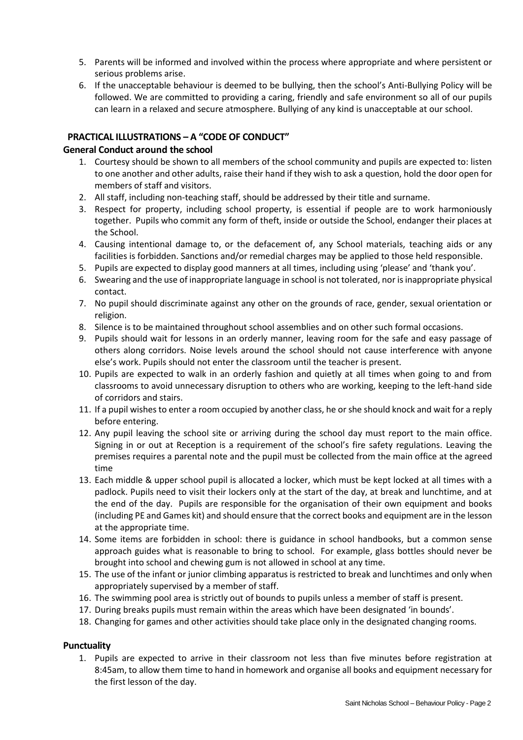- 5. Parents will be informed and involved within the process where appropriate and where persistent or serious problems arise.
- 6. If the unacceptable behaviour is deemed to be bullying, then the school's Anti-Bullying Policy will be followed. We are committed to providing a caring, friendly and safe environment so all of our pupils can learn in a relaxed and secure atmosphere. Bullying of any kind is unacceptable at our school.

## **PRACTICAL ILLUSTRATIONS – A "CODE OF CONDUCT"**

## **General Conduct around the school**

- 1. Courtesy should be shown to all members of the school community and pupils are expected to: listen to one another and other adults, raise their hand if they wish to ask a question, hold the door open for members of staff and visitors.
- 2. All staff, including non-teaching staff, should be addressed by their title and surname.
- 3. Respect for property, including school property, is essential if people are to work harmoniously together. Pupils who commit any form of theft, inside or outside the School, endanger their places at the School.
- 4. Causing intentional damage to, or the defacement of, any School materials, teaching aids or any facilities is forbidden. Sanctions and/or remedial charges may be applied to those held responsible.
- 5. Pupils are expected to display good manners at all times, including using 'please' and 'thank you'.
- 6. Swearing and the use of inappropriate language in school is not tolerated, nor is inappropriate physical contact.
- 7. No pupil should discriminate against any other on the grounds of race, gender, sexual orientation or religion.
- 8. Silence is to be maintained throughout school assemblies and on other such formal occasions.
- 9. Pupils should wait for lessons in an orderly manner, leaving room for the safe and easy passage of others along corridors. Noise levels around the school should not cause interference with anyone else's work. Pupils should not enter the classroom until the teacher is present.
- 10. Pupils are expected to walk in an orderly fashion and quietly at all times when going to and from classrooms to avoid unnecessary disruption to others who are working, keeping to the left-hand side of corridors and stairs.
- 11. If a pupil wishes to enter a room occupied by another class, he or she should knock and wait for a reply before entering.
- 12. Any pupil leaving the school site or arriving during the school day must report to the main office. Signing in or out at Reception is a requirement of the school's fire safety regulations. Leaving the premises requires a parental note and the pupil must be collected from the main office at the agreed time
- 13. Each middle & upper school pupil is allocated a locker, which must be kept locked at all times with a padlock. Pupils need to visit their lockers only at the start of the day, at break and lunchtime, and at the end of the day. Pupils are responsible for the organisation of their own equipment and books (including PE and Games kit) and should ensure that the correct books and equipment are in the lesson at the appropriate time.
- 14. Some items are forbidden in school: there is guidance in school handbooks, but a common sense approach guides what is reasonable to bring to school. For example, glass bottles should never be brought into school and chewing gum is not allowed in school at any time.
- 15. The use of the infant or junior climbing apparatus is restricted to break and lunchtimes and only when appropriately supervised by a member of staff.
- 16. The swimming pool area is strictly out of bounds to pupils unless a member of staff is present.
- 17. During breaks pupils must remain within the areas which have been designated 'in bounds'.
- 18. Changing for games and other activities should take place only in the designated changing rooms.

## **Punctuality**

1. Pupils are expected to arrive in their classroom not less than five minutes before registration at 8:45am, to allow them time to hand in homework and organise all books and equipment necessary for the first lesson of the day.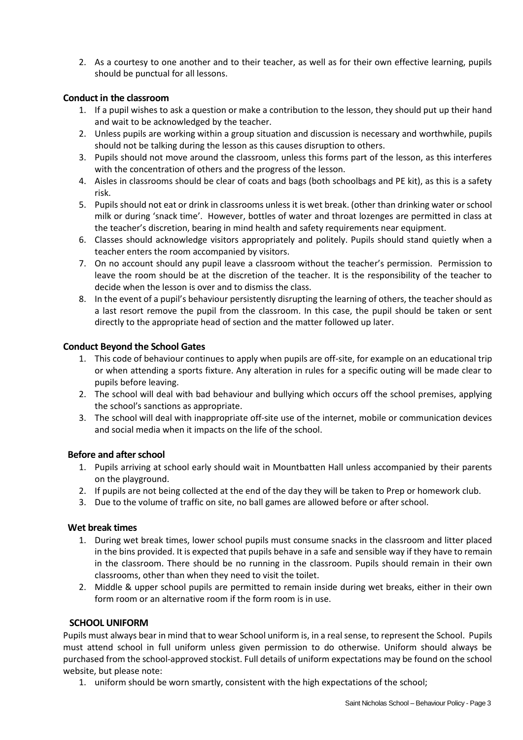2. As a courtesy to one another and to their teacher, as well as for their own effective learning, pupils should be punctual for all lessons.

## **Conductin the classroom**

- 1. If a pupil wishes to ask a question or make a contribution to the lesson, they should put up their hand and wait to be acknowledged by the teacher.
- 2. Unless pupils are working within a group situation and discussion is necessary and worthwhile, pupils should not be talking during the lesson as this causes disruption to others.
- 3. Pupils should not move around the classroom, unless this forms part of the lesson, as this interferes with the concentration of others and the progress of the lesson.
- 4. Aisles in classrooms should be clear of coats and bags (both schoolbags and PE kit), as this is a safety risk.
- 5. Pupils should not eat or drink in classrooms unless it is wet break. (other than drinking water or school milk or during 'snack time'. However, bottles of water and throat lozenges are permitted in class at the teacher's discretion, bearing in mind health and safety requirements near equipment.
- 6. Classes should acknowledge visitors appropriately and politely. Pupils should stand quietly when a teacher enters the room accompanied by visitors.
- 7. On no account should any pupil leave a classroom without the teacher's permission. Permission to leave the room should be at the discretion of the teacher. It is the responsibility of the teacher to decide when the lesson is over and to dismiss the class.
- 8. In the event of a pupil's behaviour persistently disrupting the learning of others, the teacher should as a last resort remove the pupil from the classroom. In this case, the pupil should be taken or sent directly to the appropriate head of section and the matter followed up later.

## **Conduct Beyond the School Gates**

- 1. This code of behaviour continues to apply when pupils are off-site, for example on an educational trip or when attending a sports fixture. Any alteration in rules for a specific outing will be made clear to pupils before leaving.
- 2. The school will deal with bad behaviour and bullying which occurs off the school premises, applying the school's sanctions as appropriate.
- 3. The school will deal with inappropriate off-site use of the internet, mobile or communication devices and social media when it impacts on the life of the school.

## **Before and after school**

- 1. Pupils arriving at school early should wait in Mountbatten Hall unless accompanied by their parents on the playground.
- 2. If pupils are not being collected at the end of the day they will be taken to Prep or homework club.
- 3. Due to the volume of traffic on site, no ball games are allowed before or after school.

## **Wet break times**

- 1. During wet break times, lower school pupils must consume snacks in the classroom and litter placed in the bins provided. It is expected that pupils behave in a safe and sensible way if they have to remain in the classroom. There should be no running in the classroom. Pupils should remain in their own classrooms, other than when they need to visit the toilet.
- 2. Middle & upper school pupils are permitted to remain inside during wet breaks, either in their own form room or an alternative room if the form room is in use.

## **SCHOOL UNIFORM**

Pupils must always bear in mind that to wear School uniform is, in a real sense, to represent the School. Pupils must attend school in full uniform unless given permission to do otherwise. Uniform should always be purchased from the school-approved stockist. Full details of uniform expectations may be found on the school website, but please note:

1. uniform should be worn smartly, consistent with the high expectations of the school;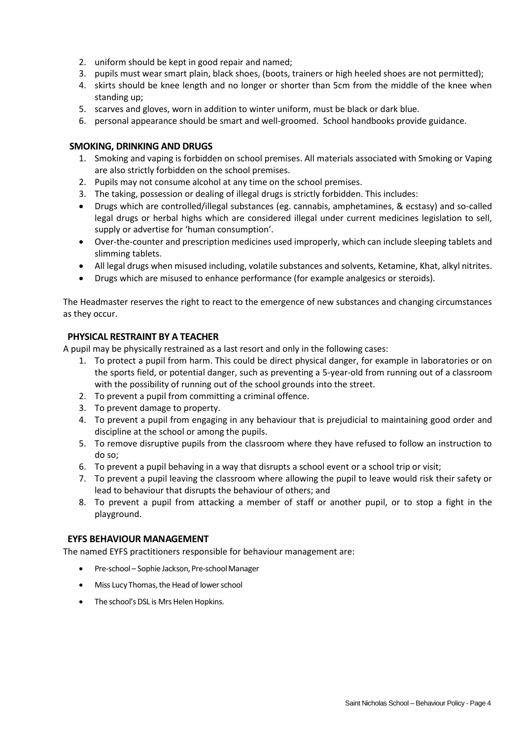- 2. uniform should be kept in good repair and named;
- 3. pupils must wear smart plain, black shoes, (boots, trainers or high heeled shoes are not permitted);
- 4. skirts should be knee length and no longer or shorter than 5cm from the middle of the knee when standing up;
- 5. scarves and gloves, worn in addition to winter uniform, must be black or dark blue.
- 6. personal appearance should be smart and well-groomed. School handbooks provide guidance.

## **SMOKING, DRINKING AND DRUGS**

- 1. Smoking and vaping is forbidden on school premises. All materials associated with Smoking or Vaping are also strictly forbidden on the school premises.
- 2. Pupils may not consume alcohol at any time on the school premises.
- 3. The taking, possession or dealing of illegal drugs is strictly forbidden. This includes:
- Drugs which are controlled/illegal substances (eg. cannabis, amphetamines, & ecstasy) and so-called legal drugs or herbal highs which are considered illegal under current medicines legislation to sell, supply or advertise for 'human consumption'.
- Over-the-counter and prescription medicines used improperly, which can include sleeping tablets and slimming tablets.
- All legal drugs when misused including, volatile substances and solvents, Ketamine, Khat, alkyl nitrites.
- Drugs which are misused to enhance performance (for example analgesics or steroids).

The Headmaster reserves the right to react to the emergence of new substances and changing circumstances as they occur.

## **PHYSICAL RESTRAINT BY A TEACHER**

A pupil may be physically restrained as a last resort and only in the following cases:

- 1. To protect a pupil from harm. This could be direct physical danger, for example in laboratories or on the sports field, or potential danger, such as preventing a 5-year-old from running out of a classroom with the possibility of running out of the school grounds into the street.
- 2. To prevent a pupil from committing a criminal offence.
- 3. To prevent damage to property.
- 4. To prevent a pupil from engaging in any behaviour that is prejudicial to maintaining good order and discipline at the school or among the pupils.
- 5. To remove disruptive pupils from the classroom where they have refused to follow an instruction to do so;
- 6. To prevent a pupil behaving in a way that disrupts a school event or a school trip or visit;
- 7. To prevent a pupil leaving the classroom where allowing the pupil to leave would risk their safety or lead to behaviour that disrupts the behaviour of others; and
- 8. To prevent a pupil from attacking a member of staff or another pupil, or to stop a fight in the playground.

## **EYFS BEHAVIOUR MANAGEMENT**

The named EYFS practitioners responsible for behaviour management are:

- Pre-school Sophie Jackson, Pre-school Manager
- Miss Lucy Thomas, the Head of lower school
- The school's DSL is Mrs Helen Hopkins.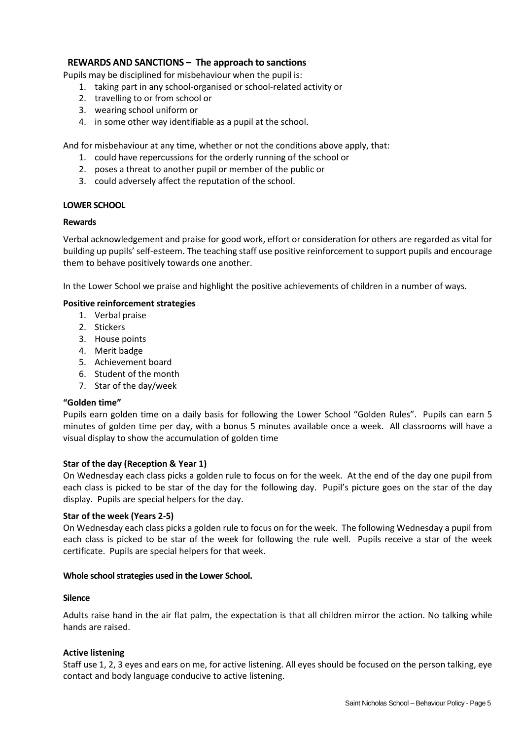## **REWARDS AND SANCTIONS – The approach to sanctions**

Pupils may be disciplined for misbehaviour when the pupil is:

- 1. taking part in any school-organised or school-related activity or
- 2. travelling to or from school or
- 3. wearing school uniform or
- 4. in some other way identifiable as a pupil at the school.

And for misbehaviour at any time, whether or not the conditions above apply, that:

- 1. could have repercussions for the orderly running of the school or
- 2. poses a threat to another pupil or member of the public or
- 3. could adversely affect the reputation of the school.

#### **LOWER SCHOOL**

#### **Rewards**

Verbal acknowledgement and praise for good work, effort or consideration for others are regarded as vital for building up pupils' self-esteem. The teaching staff use positive reinforcement to support pupils and encourage them to behave positively towards one another.

In the Lower School we praise and highlight the positive achievements of children in a number of ways.

#### **Positive reinforcement strategies**

- 1. Verbal praise
- 2. Stickers
- 3. House points
- 4. Merit badge
- 5. Achievement board
- 6. Student of the month
- 7. Star of the day/week

#### **"Golden time"**

Pupils earn golden time on a daily basis for following the Lower School "Golden Rules". Pupils can earn 5 minutes of golden time per day, with a bonus 5 minutes available once a week. All classrooms will have a visual display to show the accumulation of golden time

#### **Star of the day (Reception & Year 1)**

On Wednesday each class picks a golden rule to focus on for the week. At the end of the day one pupil from each class is picked to be star of the day for the following day. Pupil's picture goes on the star of the day display. Pupils are special helpers for the day.

#### **Star of the week (Years 2-5)**

On Wednesday each class picks a golden rule to focus on for the week. The following Wednesday a pupil from each class is picked to be star of the week for following the rule well. Pupils receive a star of the week certificate. Pupils are special helpers for that week.

#### **Whole schoolstrategies used in the Lower School.**

#### **Silence**

Adults raise hand in the air flat palm, the expectation is that all children mirror the action. No talking while hands are raised.

#### **Active listening**

Staff use 1, 2, 3 eyes and ears on me, for active listening. All eyes should be focused on the person talking, eye contact and body language conducive to active listening.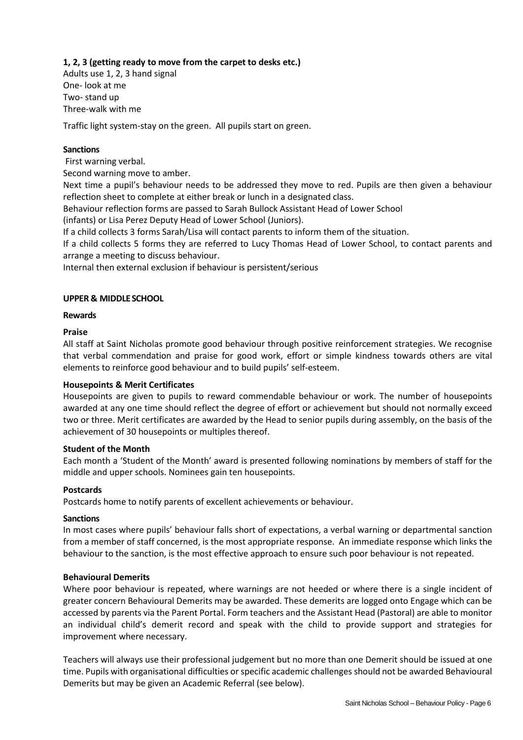## **1, 2, 3 (getting ready to move from the carpet to desks etc.)**

Adults use 1, 2, 3 hand signal One- look at me Two- stand up Three-walk with me

Traffic light system-stay on the green. All pupils start on green.

## **Sanctions**

First warning verbal.

Second warning move to amber.

Next time a pupil's behaviour needs to be addressed they move to red. Pupils are then given a behaviour reflection sheet to complete at either break or lunch in a designated class.

Behaviour reflection forms are passed to Sarah Bullock Assistant Head of Lower School

(infants) or Lisa Perez Deputy Head of Lower School (Juniors).

If a child collects 3 forms Sarah/Lisa will contact parents to inform them of the situation.

If a child collects 5 forms they are referred to Lucy Thomas Head of Lower School, to contact parents and arrange a meeting to discuss behaviour.

Internal then external exclusion if behaviour is persistent/serious

## **UPPER & MIDDLESCHOOL**

## **Rewards**

## **Praise**

All staff at Saint Nicholas promote good behaviour through positive reinforcement strategies. We recognise that verbal commendation and praise for good work, effort or simple kindness towards others are vital elements to reinforce good behaviour and to build pupils' self-esteem.

## **Housepoints & Merit Certificates**

Housepoints are given to pupils to reward commendable behaviour or work. The number of housepoints awarded at any one time should reflect the degree of effort or achievement but should not normally exceed two or three. Merit certificates are awarded by the Head to senior pupils during assembly, on the basis of the achievement of 30 housepoints or multiples thereof.

## **Student of the Month**

Each month a 'Student of the Month' award is presented following nominations by members of staff for the middle and upper schools. Nominees gain ten housepoints.

## **Postcards**

Postcards home to notify parents of excellent achievements or behaviour.

## **Sanctions**

In most cases where pupils' behaviour falls short of expectations, a verbal warning or departmental sanction from a member of staff concerned, is the most appropriate response. An immediate response which links the behaviour to the sanction, is the most effective approach to ensure such poor behaviour is not repeated.

## **Behavioural Demerits**

Where poor behaviour is repeated, where warnings are not heeded or where there is a single incident of greater concern Behavioural Demerits may be awarded. These demerits are logged onto Engage which can be accessed by parents via the Parent Portal. Form teachers and the Assistant Head (Pastoral) are able to monitor an individual child's demerit record and speak with the child to provide support and strategies for improvement where necessary.

Teachers will always use their professional judgement but no more than one Demerit should be issued at one time. Pupils with organisational difficulties or specific academic challenges should not be awarded Behavioural Demerits but may be given an Academic Referral (see below).